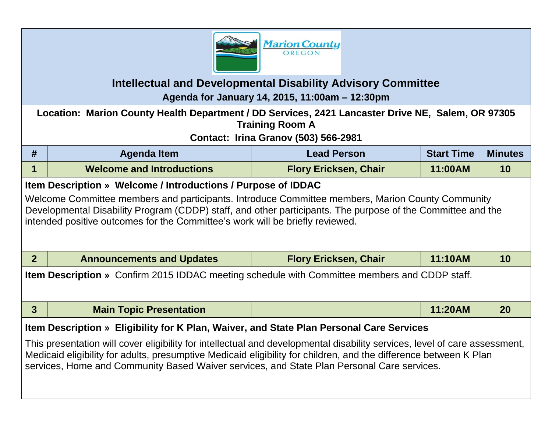

## **Intellectual and Developmental Disability Advisory Committee**

**Agenda for January 14, 2015, 11:00am – 12:30pm**

| Location: Marion County Health Department / DD Services, 2421 Lancaster Drive NE, Salem, OR 97305<br><b>Training Room A</b><br><b>Contact: Irina Granov (503) 566-2981</b>                                                                                                                                                                                                                                                                |                                                                                                                                                                                                                                                                                                                                                                                                                                                                                                                                                                |                              |                   |                |  |  |  |
|-------------------------------------------------------------------------------------------------------------------------------------------------------------------------------------------------------------------------------------------------------------------------------------------------------------------------------------------------------------------------------------------------------------------------------------------|----------------------------------------------------------------------------------------------------------------------------------------------------------------------------------------------------------------------------------------------------------------------------------------------------------------------------------------------------------------------------------------------------------------------------------------------------------------------------------------------------------------------------------------------------------------|------------------------------|-------------------|----------------|--|--|--|
|                                                                                                                                                                                                                                                                                                                                                                                                                                           |                                                                                                                                                                                                                                                                                                                                                                                                                                                                                                                                                                |                              |                   |                |  |  |  |
| #                                                                                                                                                                                                                                                                                                                                                                                                                                         | <b>Agenda Item</b>                                                                                                                                                                                                                                                                                                                                                                                                                                                                                                                                             | <b>Lead Person</b>           | <b>Start Time</b> | <b>Minutes</b> |  |  |  |
| 1                                                                                                                                                                                                                                                                                                                                                                                                                                         | <b>Welcome and Introductions</b>                                                                                                                                                                                                                                                                                                                                                                                                                                                                                                                               | <b>Flory Ericksen, Chair</b> | 11:00AM           | 10             |  |  |  |
| 2 <sup>1</sup>                                                                                                                                                                                                                                                                                                                                                                                                                            | Item Description » Welcome / Introductions / Purpose of IDDAC<br>Welcome Committee members and participants. Introduce Committee members, Marion County Community<br>Developmental Disability Program (CDDP) staff, and other participants. The purpose of the Committee and the<br>intended positive outcomes for the Committee's work will be briefly reviewed.<br>11:10AM<br><b>Announcements and Updates</b><br><b>Flory Ericksen, Chair</b><br>10<br><b>Item Description</b> » Confirm 2015 IDDAC meeting schedule with Committee members and CDDP staff. |                              |                   |                |  |  |  |
|                                                                                                                                                                                                                                                                                                                                                                                                                                           |                                                                                                                                                                                                                                                                                                                                                                                                                                                                                                                                                                |                              |                   |                |  |  |  |
| $\mathbf{3}$                                                                                                                                                                                                                                                                                                                                                                                                                              | <b>Main Topic Presentation</b>                                                                                                                                                                                                                                                                                                                                                                                                                                                                                                                                 |                              | 11:20AM           | 20             |  |  |  |
| Item Description » Eligibility for K Plan, Waiver, and State Plan Personal Care Services<br>This presentation will cover eligibility for intellectual and developmental disability services, level of care assessment,<br>Medicaid eligibility for adults, presumptive Medicaid eligibility for children, and the difference between K Plan<br>services, Home and Community Based Waiver services, and State Plan Personal Care services. |                                                                                                                                                                                                                                                                                                                                                                                                                                                                                                                                                                |                              |                   |                |  |  |  |